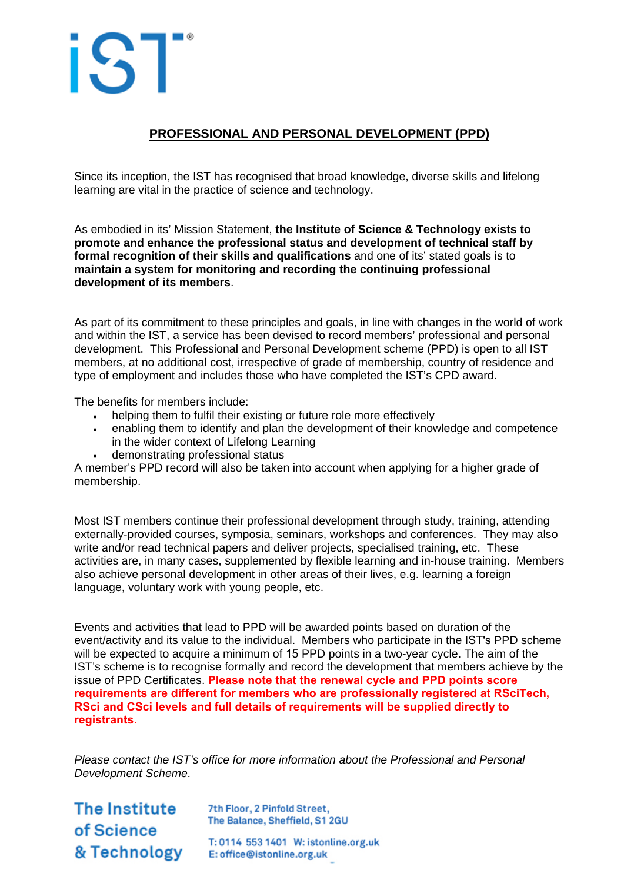

# **PROFESSIONAL AND PERSONAL DEVELOPMENT (PPD)**

Since its inception, the IST has recognised that broad knowledge, diverse skills and lifelong learning are vital in the practice of science and technology.

As embodied in its' Mission Statement, **the Institute of Science & Technology exists to promote and enhance the professional status and development of technical staff by formal recognition of their skills and qualifications** and one of its' stated goals is to **maintain a system for monitoring and recording the continuing professional development of its members**.

As part of its commitment to these principles and goals, in line with changes in the world of work and within the IST, a service has been devised to record members' professional and personal development. This Professional and Personal Development scheme (PPD) is open to all IST members, at no additional cost, irrespective of grade of membership, country of residence and type of employment and includes those who have completed the IST's CPD award.

The benefits for members include:

- helping them to fulfil their existing or future role more effectively
- enabling them to identify and plan the development of their knowledge and competence in the wider context of Lifelong Learning
- demonstrating professional status

A member's PPD record will also be taken into account when applying for a higher grade of membership.

Most IST members continue their professional development through study, training, attending externally-provided courses, symposia, seminars, workshops and conferences. They may also write and/or read technical papers and deliver projects, specialised training, etc. These activities are, in many cases, supplemented by flexible learning and in-house training. Members also achieve personal development in other areas of their lives, e.g. learning a foreign language, voluntary work with young people, etc.

Events and activities that lead to PPD will be awarded points based on duration of the event/activity and its value to the individual. Members who participate in the IST's PPD scheme will be expected to acquire a minimum of 15 PPD points in a two-year cycle. The aim of the IST's scheme is to recognise formally and record the development that members achieve by the issue of PPD Certificates. **Please note that the renewal cycle and PPD points score requirements are different for members who are professionally registered at RSciTech, RSci and CSci levels and full details of requirements will be supplied directly to registrants**.

*Please contact the IST's office for more information about the Professional and Personal Development Scheme.*

The Institute 7th Floor, 2 Pinfold Street, of Science The Balance, Sheffield, S1 2GU T: 0114 553 1401 W: istonline.org.uk<br>& Technology E: office@istonline.org.uk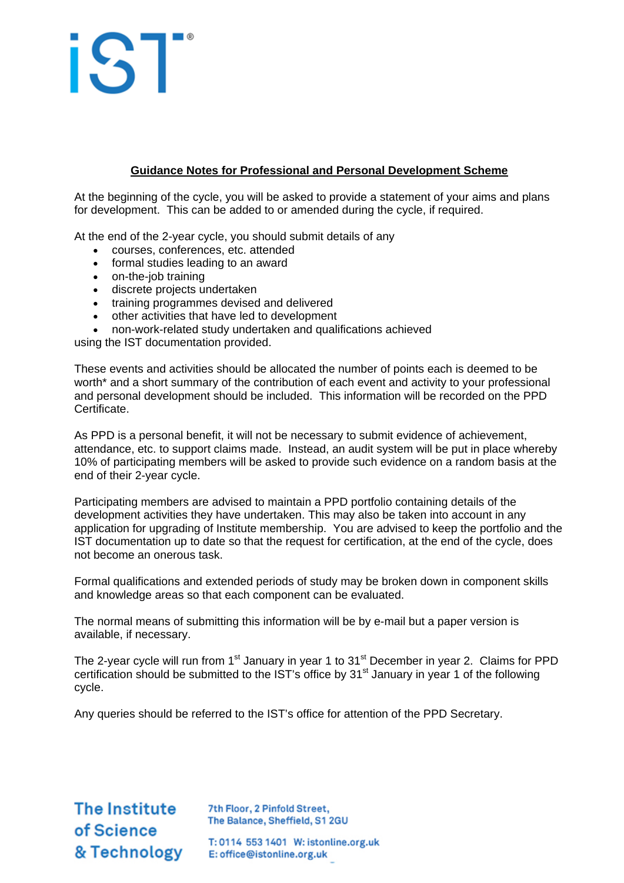# iST

## **Guidance Notes for Professional and Personal Development Scheme**

At the beginning of the cycle, you will be asked to provide a statement of your aims and plans for development. This can be added to or amended during the cycle, if required.

At the end of the 2-year cycle, you should submit details of any

- courses, conferences, etc. attended
- formal studies leading to an award
- on-the-job training
- discrete projects undertaken
- training programmes devised and delivered
- other activities that have led to development
- non-work-related study undertaken and qualifications achieved

using the IST documentation provided.

These events and activities should be allocated the number of points each is deemed to be worth\* and a short summary of the contribution of each event and activity to your professional and personal development should be included. This information will be recorded on the PPD Certificate.

As PPD is a personal benefit, it will not be necessary to submit evidence of achievement, attendance, etc. to support claims made. Instead, an audit system will be put in place whereby 10% of participating members will be asked to provide such evidence on a random basis at the end of their 2-year cycle.

Participating members are advised to maintain a PPD portfolio containing details of the development activities they have undertaken. This may also be taken into account in any application for upgrading of Institute membership. You are advised to keep the portfolio and the IST documentation up to date so that the request for certification, at the end of the cycle, does not become an onerous task.

Formal qualifications and extended periods of study may be broken down in component skills and knowledge areas so that each component can be evaluated.

The normal means of submitting this information will be by e-mail but a paper version is available, if necessary.

The 2-year cycle will run from  $1<sup>st</sup>$  January in year 1 to  $31<sup>st</sup>$  December in year 2. Claims for PPD certification should be submitted to the IST's office by 31<sup>st</sup> January in year 1 of the following cycle.

Any queries should be referred to the IST's office for attention of the PPD Secretary.

The Institute 7th Floor, 2 Pinfold Street, of Science

The Balance, Sheffield, S1 2GU

T: 0114 553 1401 W: istonline.org.uk<br>& Technology E: office@istonline.org.uk